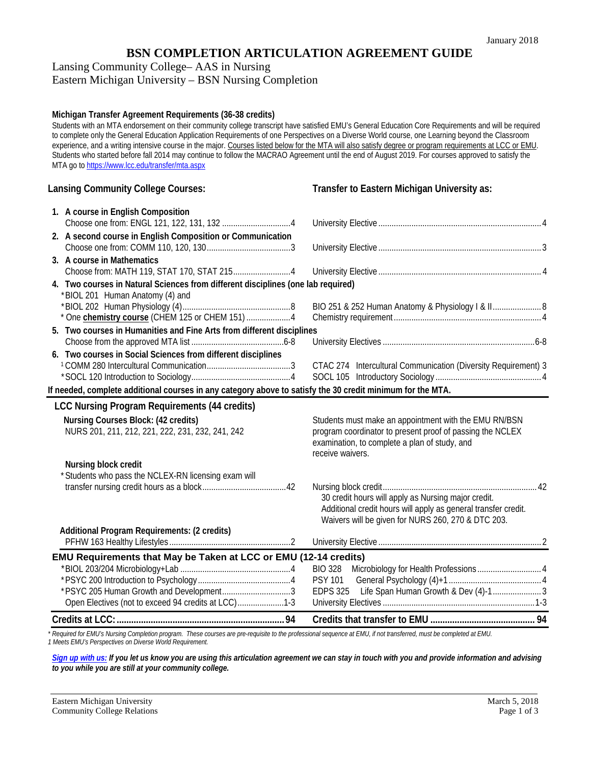## **BSN COMPLETION ARTICULATION AGREEMENT GUIDE**

Lansing Community College– AAS in Nursing

Eastern Michigan University – BSN Nursing Completion

## **Michigan Transfer Agreement Requirements (36-38 credits)**

Students with an MTA endorsement on their community college transcript have satisfied EMU's General Education Core Requirements and will be required to complete only the General Education Application Requirements of one Perspectives on a Diverse World course, one Learning beyond the Classroom experience, and a writing intensive course in the major. Courses listed below for the MTA will also satisfy degree or program requirements at LCC or EMU. Students who started before fall 2014 may continue to follow the MACRAO Agreement until the end of August 2019. For courses approved to satisfy the MTA go to <https://www.lcc.edu/transfer/mta.aspx>

## **Lansing Community College Courses: Transfer to Eastern Michigan University as:**

| 1. A course in English Composition                                                                                  |                                                                                                                      |
|---------------------------------------------------------------------------------------------------------------------|----------------------------------------------------------------------------------------------------------------------|
| 2. A second course in English Composition or Communication                                                          |                                                                                                                      |
|                                                                                                                     |                                                                                                                      |
| 3. A course in Mathematics                                                                                          |                                                                                                                      |
|                                                                                                                     |                                                                                                                      |
| 4. Two courses in Natural Sciences from different disciplines (one lab required)<br>*BIOL 201 Human Anatomy (4) and |                                                                                                                      |
|                                                                                                                     | BIO 251 & 252 Human Anatomy & Physiology I & II 8                                                                    |
| * One chemistry course (CHEM 125 or CHEM 151) 4                                                                     |                                                                                                                      |
| 5. Two courses in Humanities and Fine Arts from different disciplines                                               |                                                                                                                      |
|                                                                                                                     |                                                                                                                      |
| 6. Two courses in Social Sciences from different disciplines                                                        |                                                                                                                      |
|                                                                                                                     | CTAC 274 Intercultural Communication (Diversity Requirement) 3                                                       |
|                                                                                                                     |                                                                                                                      |
| If needed, complete additional courses in any category above to satisfy the 30 credit minimum for the MTA.          |                                                                                                                      |
| <b>LCC Nursing Program Requirements (44 credits)</b>                                                                |                                                                                                                      |
| Nursing Courses Block: (42 credits)                                                                                 | Students must make an appointment with the EMU RN/BSN                                                                |
| NURS 201, 211, 212, 221, 222, 231, 232, 241, 242                                                                    | program coordinator to present proof of passing the NCLEX                                                            |
|                                                                                                                     | examination, to complete a plan of study, and<br>receive waivers.                                                    |
| Nursing block credit                                                                                                |                                                                                                                      |
| * Students who pass the NCLEX-RN licensing exam will                                                                |                                                                                                                      |
|                                                                                                                     |                                                                                                                      |
|                                                                                                                     | 30 credit hours will apply as Nursing major credit.                                                                  |
|                                                                                                                     | Additional credit hours will apply as general transfer credit.<br>Waivers will be given for NURS 260, 270 & DTC 203. |
| Additional Program Requirements: (2 credits)                                                                        |                                                                                                                      |
|                                                                                                                     |                                                                                                                      |
| EMU Requirements that May be Taken at LCC or EMU (12-14 credits)                                                    |                                                                                                                      |
|                                                                                                                     |                                                                                                                      |
|                                                                                                                     | <b>PSY 101</b>                                                                                                       |
| *PSYC 205 Human Growth and Development3                                                                             | Life Span Human Growth & Dev (4)-13<br><b>EDPS 325</b>                                                               |
| Open Electives (not to exceed 94 credits at LCC)1-3                                                                 |                                                                                                                      |
|                                                                                                                     |                                                                                                                      |
|                                                                                                                     |                                                                                                                      |

*\* Required for EMU's Nursing Completion program. These courses are pre-requisite to the professional sequence at EMU, if not transferred, must be completed at EMU. 1 Meets EMU's Perspectives on Diverse World Requirement.*

*[Sign up with us:](https://www.emich.edu/ccr/articulation-agreements/signup.php) If you let us know you are using this articulation agreement we can stay in touch with you and provide information and advising to you while you are still at your community college.*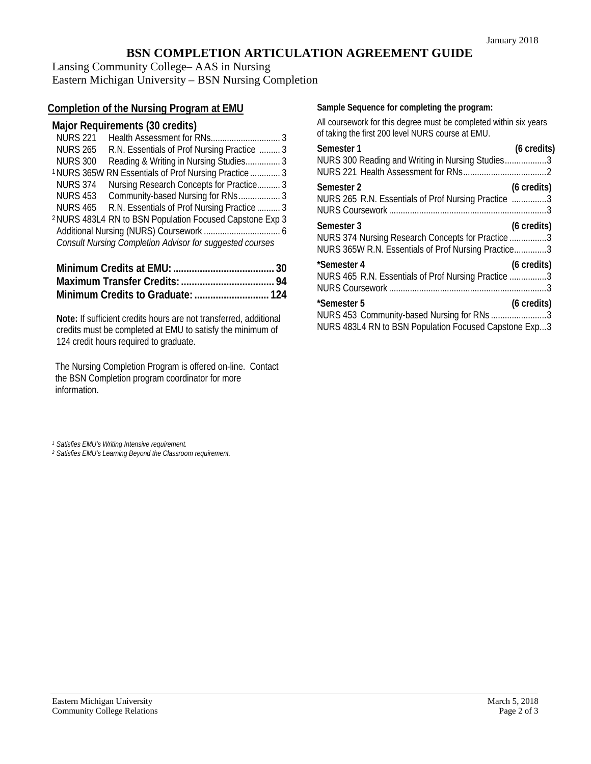# **BSN COMPLETION ARTICULATION AGREEMENT GUIDE**

Lansing Community College– AAS in Nursing Eastern Michigan University – BSN Nursing Completion

# **Completion of the Nursing Program at EMU**

## **Major Requirements (30 credits)**

| <b>NURS 221</b> |                                                                     |  |
|-----------------|---------------------------------------------------------------------|--|
| <b>NURS 265</b> | R.N. Essentials of Prof Nursing Practice  3                         |  |
| <b>NURS 300</b> | Reading & Writing in Nursing Studies 3                              |  |
|                 | <sup>1</sup> NURS 365W RN Essentials of Prof Nursing Practice  3    |  |
| <b>NURS 374</b> | Nursing Research Concepts for Practice 3                            |  |
|                 | NURS 453 Community-based Nursing for RNs 3                          |  |
| NURS 465        | R.N. Essentials of Prof Nursing Practice  3                         |  |
|                 | <sup>2</sup> NURS 483L4 RN to BSN Population Focused Capstone Exp 3 |  |
|                 |                                                                     |  |
|                 | <b>Consult Nursing Completion Advisor for suggested courses</b>     |  |
|                 |                                                                     |  |

**Note:** If sufficient credits hours are not transferred, additional credits must be completed at EMU to satisfy the minimum of 124 credit hours required to graduate.

The Nursing Completion Program is offered on-line. Contact the BSN Completion program coordinator for more information.

## **Sample Sequence for completing the program:**

All coursework for this degree must be completed within six years of taking the first 200 level NURS course at EMU.

| Semester 1                                                                                                             | (6 credits) |
|------------------------------------------------------------------------------------------------------------------------|-------------|
| NURS 300 Reading and Writing in Nursing Studies3                                                                       |             |
| Semester 2<br>NURS 265 R.N. Essentials of Prof Nursing Practice 3                                                      | (6 credits) |
| Semester 3<br>NURS 374 Nursing Research Concepts for Practice 3<br>NURS 365W R.N. Essentials of Prof Nursing Practice3 | (6 credits) |
| *Semester 4<br>NURS 465 R.N. Essentials of Prof Nursing Practice 3                                                     | (6 credits) |
| *Semester 5<br>NURS 453 Community-based Nursing for RNs 3<br>NURS 483L4 RN to BSN Population Focused Capstone Exp3     | (6 credits) |

*<sup>1</sup> Satisfies EMU's Writing Intensive requirement.*

*<sup>2</sup> Satisfies EMU's Learning Beyond the Classroom requirement.*